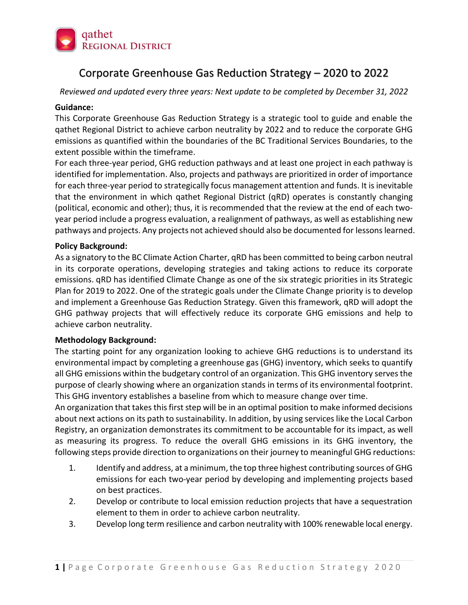

# Corporate Greenhouse Gas Reduction Strategy – 2020 to 2022

*Reviewed and updated every three years: Next update to be completed by December 31, 2022*

#### **Guidance:**

This Corporate Greenhouse Gas Reduction Strategy is a strategic tool to guide and enable the qathet Regional District to achieve carbon neutrality by 2022 and to reduce the corporate GHG emissions as quantified within the boundaries of the BC Traditional Services Boundaries, to the extent possible within the timeframe.

For each three-year period, GHG reduction pathways and at least one project in each pathway is identified for implementation. Also, projects and pathways are prioritized in order of importance for each three-year period to strategically focus management attention and funds. It is inevitable that the environment in which qathet Regional District (qRD) operates is constantly changing (political, economic and other); thus, it is recommended that the review at the end of each twoyear period include a progress evaluation, a realignment of pathways, as well as establishing new pathways and projects. Any projects not achieved should also be documented for lessons learned.

## **Policy Background:**

As a signatory to the BC Climate Action Charter, qRD has been committed to being carbon neutral in its corporate operations, developing strategies and taking actions to reduce its corporate emissions. qRD has identified Climate Change as one of the six strategic priorities in its Strategic Plan for 2019 to 2022. One of the strategic goals under the Climate Change priority is to develop and implement a Greenhouse Gas Reduction Strategy. Given this framework, qRD will adopt the GHG pathway projects that will effectively reduce its corporate GHG emissions and help to achieve carbon neutrality.

## **Methodology Background:**

The starting point for any organization looking to achieve GHG reductions is to understand its environmental impact by completing a greenhouse gas (GHG) inventory, which seeks to quantify all GHG emissions within the budgetary control of an organization. This GHG inventory serves the purpose of clearly showing where an organization stands in terms of its environmental footprint. This GHG inventory establishes a baseline from which to measure change over time.

An organization that takes this first step will be in an optimal position to make informed decisions about next actions on its path to sustainability. In addition, by using services like the Local Carbon Registry, an organization demonstrates its commitment to be accountable for its impact, as well as measuring its progress. To reduce the overall GHG emissions in its GHG inventory, the following steps provide direction to organizations on their journey to meaningful GHG reductions:

- 1. Identify and address, at a minimum, the top three highest contributing sources of GHG emissions for each two-year period by developing and implementing projects based on best practices.
- 2. Develop or contribute to local emission reduction projects that have a sequestration element to them in order to achieve carbon neutrality.
- 3. Develop long term resilience and carbon neutrality with 100% renewable local energy.